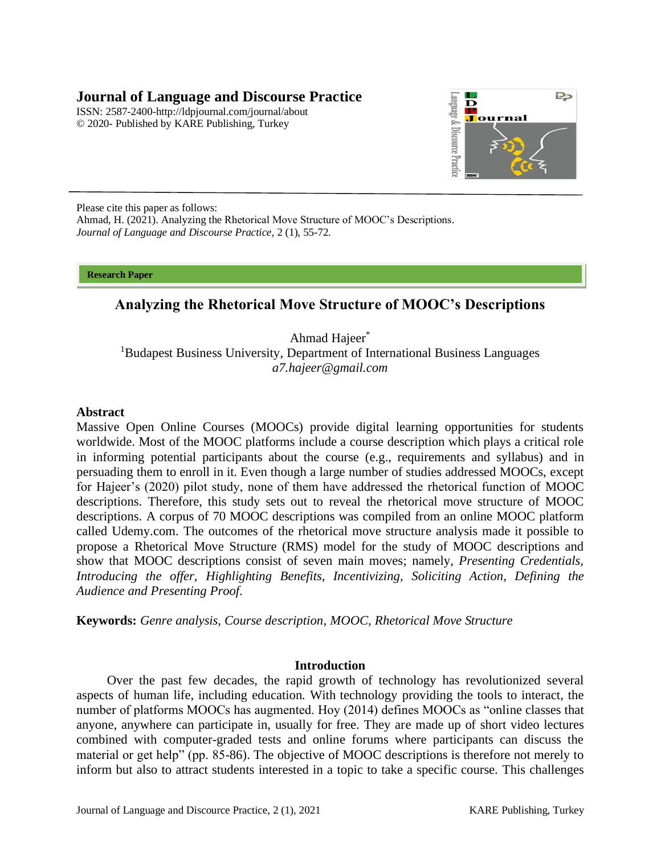# **Journal of Language and Discourse Practice**

ISSN: 2587-2400[-http://ldpjournal.com/j](http://ldpjournal.com/)ournal/about © 2020- Published by KARE Publishing, Turkey



Please cite this paper as follows: Ahmad, H. (2021). Analyzing the Rhetorical Move Structure of MOOC's Descriptions. *Journal of Language and Discourse Practice,* 2 (1), 55-72.

**Research Paper** 

# **Analyzing the Rhetorical Move Structure of MOOC's Descriptions**

Ahmad Hajeer\* <sup>1</sup>Budapest Business University, Department of International Business Languages *a7.hajeer@gmail.com*

### **Abstract**

Massive Open Online Courses (MOOCs) provide digital learning opportunities for students worldwide. Most of the MOOC platforms include a course description which plays a critical role in informing potential participants about the course (e.g., requirements and syllabus) and in persuading them to enroll in it. Even though a large number of studies addressed MOOCs, except for Hajeer's (2020) pilot study, none of them have addressed the rhetorical function of MOOC descriptions. Therefore, this study sets out to reveal the rhetorical move structure of MOOC descriptions. A corpus of 70 MOOC descriptions was compiled from an online MOOC platform called Udemy.com. The outcomes of the rhetorical move structure analysis made it possible to propose a Rhetorical Move Structure (RMS) model for the study of MOOC descriptions and show that MOOC descriptions consist of seven main moves; namely, *Presenting Credentials, Introducing the offer, Highlighting Benefits, Incentivizing, Soliciting Action, Defining the Audience and Presenting Proof*.

**Keywords:** *Genre analysis, Course description, MOOC, Rhetorical Move Structure* 

### **Introduction**

Over the past few decades, the rapid growth of technology has revolutionized several aspects of human life, including education. With technology providing the tools to interact, the number of platforms MOOCs has augmented. Hoy (2014) defines MOOCs as "online classes that anyone, anywhere can participate in, usually for free. They are made up of short video lectures combined with computer-graded tests and online forums where participants can discuss the material or get help" (pp. 85-86). The objective of MOOC descriptions is therefore not merely to inform but also to attract students interested in a topic to take a specific course. This challenges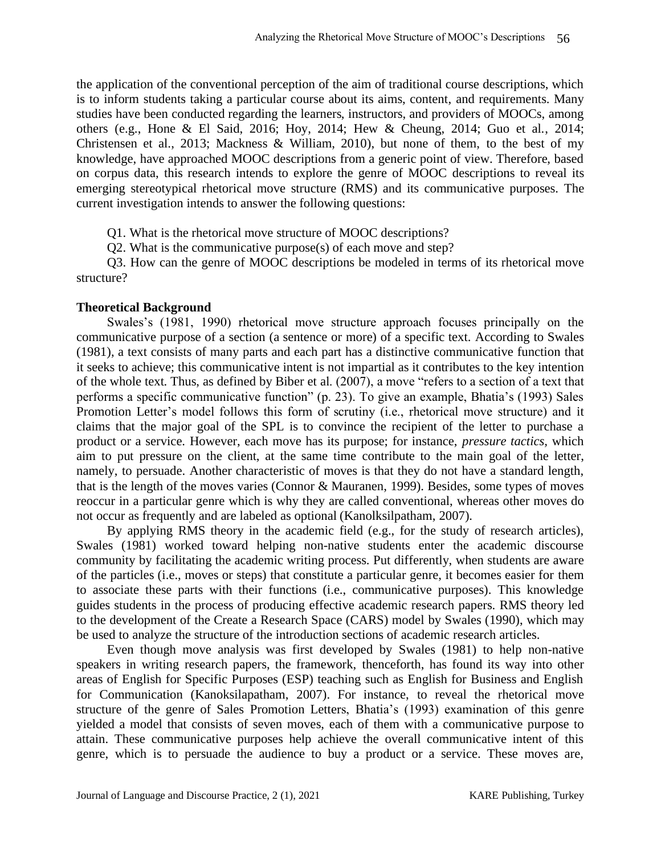the application of the conventional perception of the aim of traditional course descriptions, which is to inform students taking a particular course about its aims, content, and requirements. Many studies have been conducted regarding the learners, instructors, and providers of MOOCs, among others (e.g., Hone & El Said, 2016; Hoy, 2014; Hew & Cheung, 2014; Guo et al., 2014; Christensen et al., 2013; Mackness & William, 2010), but none of them, to the best of my knowledge, have approached MOOC descriptions from a generic point of view. Therefore, based on corpus data, this research intends to explore the genre of MOOC descriptions to reveal its emerging stereotypical rhetorical move structure (RMS) and its communicative purposes. The current investigation intends to answer the following questions:

Q1. What is the rhetorical move structure of MOOC descriptions?

Q2. What is the communicative purpose(s) of each move and step?

Q3. How can the genre of MOOC descriptions be modeled in terms of its rhetorical move structure?

### **Theoretical Background**

Swales's (1981, 1990) rhetorical move structure approach focuses principally on the communicative purpose of a section (a sentence or more) of a specific text. According to Swales (1981), a text consists of many parts and each part has a distinctive communicative function that it seeks to achieve; this communicative intent is not impartial as it contributes to the key intention of the whole text. Thus, as defined by Biber et al. (2007), a move "refers to a section of a text that performs a specific communicative function" (p. 23). To give an example, Bhatia's (1993) Sales Promotion Letter's model follows this form of scrutiny (i.e., rhetorical move structure) and it claims that the major goal of the SPL is to convince the recipient of the letter to purchase a product or a service. However, each move has its purpose; for instance, *pressure tactics,* which aim to put pressure on the client, at the same time contribute to the main goal of the letter, namely, to persuade. Another characteristic of moves is that they do not have a standard length, that is the length of the moves varies (Connor & Mauranen, 1999). Besides, some types of moves reoccur in a particular genre which is why they are called conventional, whereas other moves do not occur as frequently and are labeled as optional (Kanolksilpatham, 2007).

By applying RMS theory in the academic field (e.g., for the study of research articles), Swales (1981) worked toward helping non-native students enter the academic discourse community by facilitating the academic writing process. Put differently, when students are aware of the particles (i.e., moves or steps) that constitute a particular genre, it becomes easier for them to associate these parts with their functions (i.e., communicative purposes). This knowledge guides students in the process of producing effective academic research papers. RMS theory led to the development of the Create a Research Space (CARS) model by Swales (1990), which may be used to analyze the structure of the introduction sections of academic research articles.

Even though move analysis was first developed by Swales (1981) to help non-native speakers in writing research papers, the framework, thenceforth, has found its way into other areas of English for Specific Purposes (ESP) teaching such as English for Business and English for Communication (Kanoksilapatham, 2007). For instance, to reveal the rhetorical move structure of the genre of Sales Promotion Letters, Bhatia's (1993) examination of this genre yielded a model that consists of seven moves, each of them with a communicative purpose to attain. These communicative purposes help achieve the overall communicative intent of this genre, which is to persuade the audience to buy a product or a service. These moves are,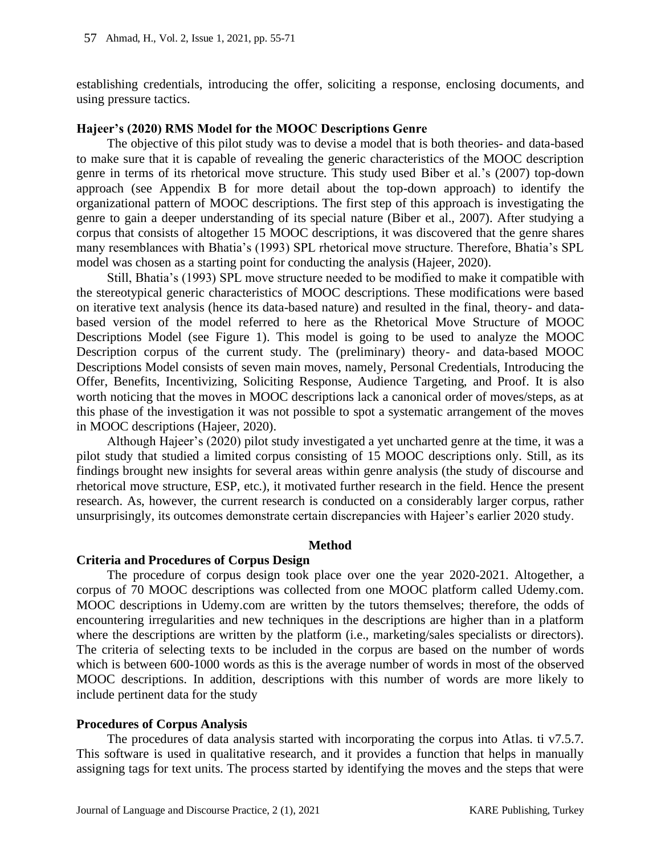establishing credentials, introducing the offer, soliciting a response, enclosing documents, and using pressure tactics.

#### **Hajeer's (2020) RMS Model for the MOOC Descriptions Genre**

The objective of this pilot study was to devise a model that is both theories- and data-based to make sure that it is capable of revealing the generic characteristics of the MOOC description genre in terms of its rhetorical move structure. This study used Biber et al.'s (2007) top-down approach (see Appendix B for more detail about the top-down approach) to identify the organizational pattern of MOOC descriptions. The first step of this approach is investigating the genre to gain a deeper understanding of its special nature (Biber et al., 2007). After studying a corpus that consists of altogether 15 MOOC descriptions, it was discovered that the genre shares many resemblances with Bhatia's (1993) SPL rhetorical move structure. Therefore, Bhatia's SPL model was chosen as a starting point for conducting the analysis (Hajeer, 2020).

Still, Bhatia's (1993) SPL move structure needed to be modified to make it compatible with the stereotypical generic characteristics of MOOC descriptions. These modifications were based on iterative text analysis (hence its data-based nature) and resulted in the final, theory- and databased version of the model referred to here as the Rhetorical Move Structure of MOOC Descriptions Model (see Figure 1). This model is going to be used to analyze the MOOC Description corpus of the current study. The (preliminary) theory- and data-based MOOC Descriptions Model consists of seven main moves, namely, Personal Credentials, Introducing the Offer, Benefits, Incentivizing, Soliciting Response, Audience Targeting, and Proof. It is also worth noticing that the moves in MOOC descriptions lack a canonical order of moves/steps, as at this phase of the investigation it was not possible to spot a systematic arrangement of the moves in MOOC descriptions (Hajeer, 2020).

Although Hajeer's (2020) pilot study investigated a yet uncharted genre at the time, it was a pilot study that studied a limited corpus consisting of 15 MOOC descriptions only. Still, as its findings brought new insights for several areas within genre analysis (the study of discourse and rhetorical move structure, ESP, etc.), it motivated further research in the field. Hence the present research. As, however, the current research is conducted on a considerably larger corpus, rather unsurprisingly, its outcomes demonstrate certain discrepancies with Hajeer's earlier 2020 study.

### **Method**

### **Criteria and Procedures of Corpus Design**

The procedure of corpus design took place over one the year 2020-2021. Altogether, a corpus of 70 MOOC descriptions was collected from one MOOC platform called Udemy.com. MOOC descriptions in Udemy.com are written by the tutors themselves; therefore, the odds of encountering irregularities and new techniques in the descriptions are higher than in a platform where the descriptions are written by the platform (i.e., marketing/sales specialists or directors). The criteria of selecting texts to be included in the corpus are based on the number of words which is between 600-1000 words as this is the average number of words in most of the observed MOOC descriptions. In addition, descriptions with this number of words are more likely to include pertinent data for the study

#### **Procedures of Corpus Analysis**

The procedures of data analysis started with incorporating the corpus into Atlas. ti v7.5.7. This software is used in qualitative research, and it provides a function that helps in manually assigning tags for text units. The process started by identifying the moves and the steps that were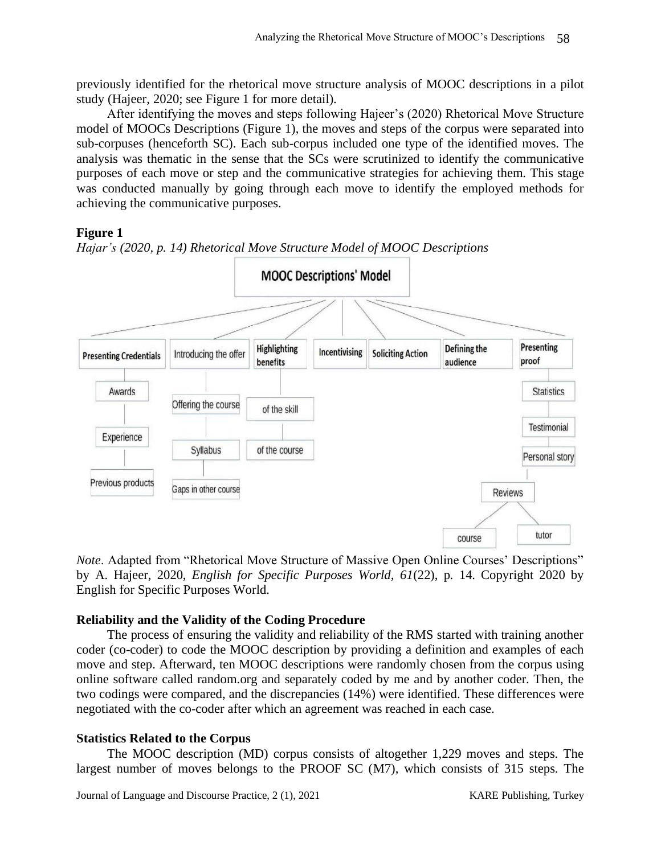previously identified for the rhetorical move structure analysis of MOOC descriptions in a pilot study (Hajeer, 2020; see Figure 1 for more detail).

After identifying the moves and steps following Hajeer's (2020) Rhetorical Move Structure model of MOOCs Descriptions (Figure 1), the moves and steps of the corpus were separated into sub-corpuses (henceforth SC). Each sub-corpus included one type of the identified moves. The analysis was thematic in the sense that the SCs were scrutinized to identify the communicative purposes of each move or step and the communicative strategies for achieving them. This stage was conducted manually by going through each move to identify the employed methods for achieving the communicative purposes.

# **Figure 1**







# **Reliability and the Validity of the Coding Procedure**

The process of ensuring the validity and reliability of the RMS started with training another coder (co-coder) to code the MOOC description by providing a definition and examples of each move and step. Afterward, ten MOOC descriptions were randomly chosen from the corpus using online software called random.org and separately coded by me and by another coder. Then, the two codings were compared, and the discrepancies (14%) were identified. These differences were negotiated with the co-coder after which an agreement was reached in each case.

# **Statistics Related to the Corpus**

The MOOC description (MD) corpus consists of altogether 1,229 moves and steps. The largest number of moves belongs to the PROOF SC (M7), which consists of 315 steps. The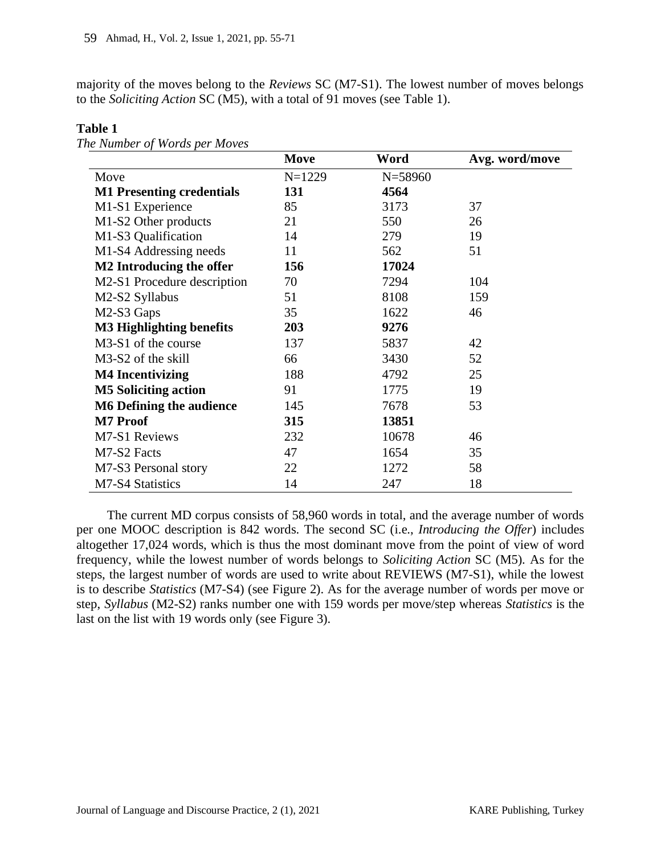majority of the moves belong to the *Reviews* SC (M7-S1). The lowest number of moves belongs to the *Soliciting Action* SC (M5), with a total of 91 moves (see Table 1).

|                                  | Move     | Word        | Avg. word/move |
|----------------------------------|----------|-------------|----------------|
| Move                             | $N=1229$ | $N = 58960$ |                |
| <b>M1 Presenting credentials</b> | 131      | 4564        |                |
| M1-S1 Experience                 | 85       | 3173        | 37             |
| M1-S2 Other products             | 21       | 550         | 26             |
| M1-S3 Qualification              | 14       | 279         | 19             |
| M1-S4 Addressing needs           | 11       | 562         | 51             |
| M2 Introducing the offer         | 156      | 17024       |                |
| M2-S1 Procedure description      | 70       | 7294        | 104            |
| M2-S2 Syllabus                   | 51       | 8108        | 159            |
| M2-S3 Gaps                       | 35       | 1622        | 46             |
| <b>M3 Highlighting benefits</b>  | 203      | 9276        |                |
| M3-S1 of the course              | 137      | 5837        | 42             |
| M3-S2 of the skill               | 66       | 3430        | 52             |
| <b>M4 Incentivizing</b>          | 188      | 4792        | 25             |
| <b>M5 Soliciting action</b>      | 91       | 1775        | 19             |
| <b>M6 Defining the audience</b>  | 145      | 7678        | 53             |
| <b>M7 Proof</b>                  | 315      | 13851       |                |
| M7-S1 Reviews                    | 232      | 10678       | 46             |
| M7-S2 Facts                      | 47       | 1654        | 35             |
| M7-S3 Personal story             | 22       | 1272        | 58             |
| M7-S4 Statistics                 | 14       | 247         | 18             |

**Table 1**

*The Number of Words per Moves*

The current MD corpus consists of 58,960 words in total, and the average number of words per one MOOC description is 842 words. The second SC (i.e., *Introducing the Offer*) includes altogether 17,024 words, which is thus the most dominant move from the point of view of word frequency, while the lowest number of words belongs to *Soliciting Action* SC (M5). As for the steps, the largest number of words are used to write about REVIEWS (M7-S1), while the lowest is to describe *Statistics* (M7-S4) (see Figure 2). As for the average number of words per move or step, *Syllabus* (M2-S2) ranks number one with 159 words per move/step whereas *Statistics* is the last on the list with 19 words only (see Figure 3).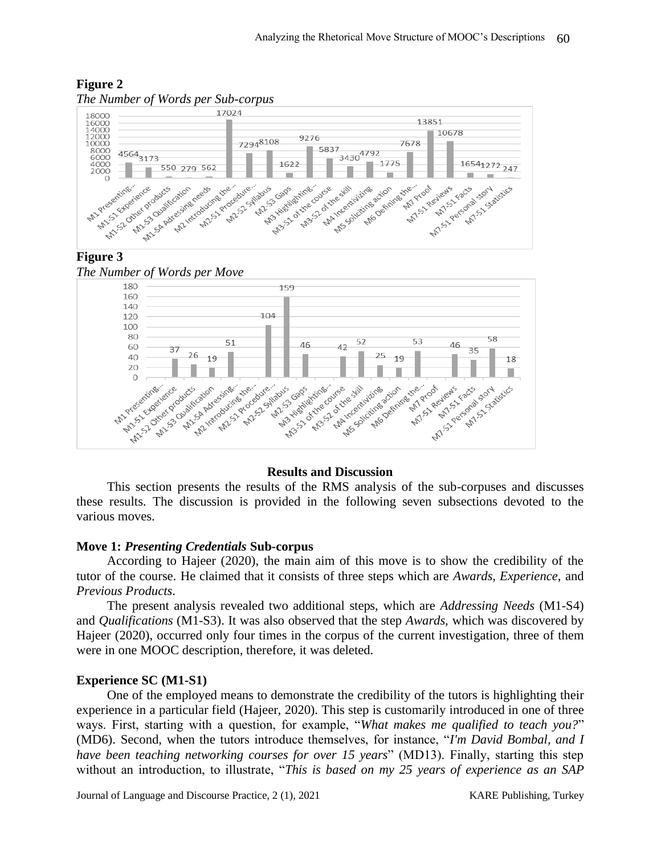

# **Figure 2**

# **Figure 3**





#### **Results and Discussion**

This section presents the results of the RMS analysis of the sub-corpuses and discusses these results. The discussion is provided in the following seven subsections devoted to the various moves.

### **Move 1:** *Presenting Credentials* **Sub-corpus**

According to Hajeer (2020), the main aim of this move is to show the credibility of the tutor of the course. He claimed that it consists of three steps which are *Awards, Experience*, and *Previous Products*.

The present analysis revealed two additional steps, which are *Addressing Needs* (M1-S4) and *Qualifications* (M1-S3). It was also observed that the step *Awards*, which was discovered by Hajeer (2020), occurred only four times in the corpus of the current investigation, three of them were in one MOOC description, therefore, it was deleted.

### **Experience SC (M1-S1)**

One of the employed means to demonstrate the credibility of the tutors is highlighting their experience in a particular field (Hajeer, 2020). This step is customarily introduced in one of three ways. First, starting with a question, for example, "*What makes me qualified to teach you?*" (MD6). Second, when the tutors introduce themselves, for instance, "*I'm David Bombal, and I have been teaching networking courses for over 15 years*" (MD13). Finally, starting this step without an introduction, to illustrate, "*This is based on my 25 years of experience as an SAP*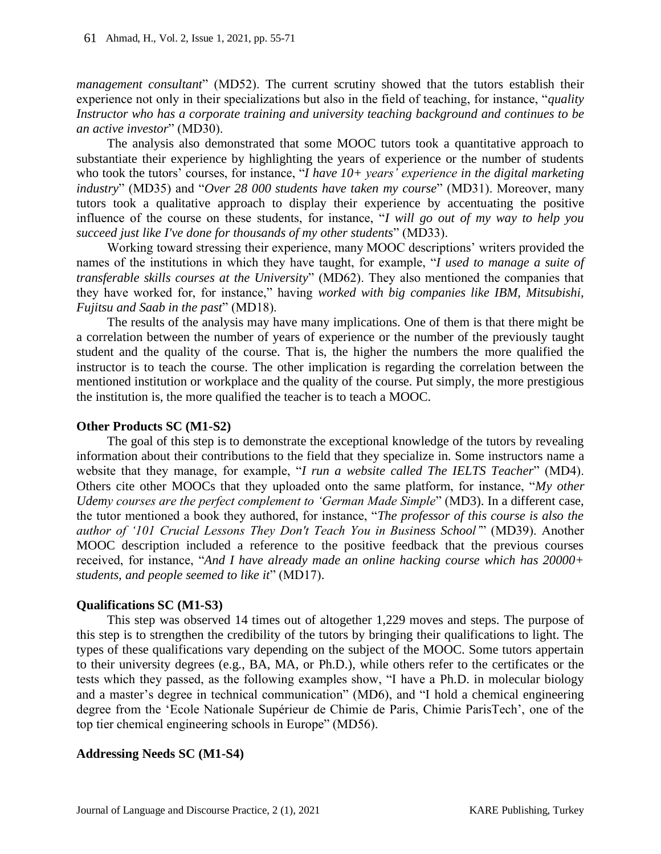*management consultant*" (MD52). The current scrutiny showed that the tutors establish their experience not only in their specializations but also in the field of teaching, for instance, "*quality Instructor who has a corporate training and university teaching background and continues to be an active investor*" (MD30).

The analysis also demonstrated that some MOOC tutors took a quantitative approach to substantiate their experience by highlighting the years of experience or the number of students who took the tutors' courses, for instance, "*I have 10+ years' experience in the digital marketing industry*" (MD35) and "*Over 28 000 students have taken my course*" (MD31). Moreover, many tutors took a qualitative approach to display their experience by accentuating the positive influence of the course on these students, for instance, "*I will go out of my way to help you succeed just like I've done for thousands of my other students*" (MD33).

Working toward stressing their experience, many MOOC descriptions' writers provided the names of the institutions in which they have taught, for example, "*I used to manage a suite of transferable skills courses at the University*" (MD62). They also mentioned the companies that they have worked for, for instance," having *worked with big companies like IBM, Mitsubishi, Fujitsu and Saab in the past*" (MD18).

The results of the analysis may have many implications. One of them is that there might be a correlation between the number of years of experience or the number of the previously taught student and the quality of the course. That is, the higher the numbers the more qualified the instructor is to teach the course. The other implication is regarding the correlation between the mentioned institution or workplace and the quality of the course. Put simply, the more prestigious the institution is, the more qualified the teacher is to teach a MOOC.

### **Other Products SC (M1-S2)**

The goal of this step is to demonstrate the exceptional knowledge of the tutors by revealing information about their contributions to the field that they specialize in. Some instructors name a website that they manage, for example, "*I run a website called The IELTS Teacher*" (MD4). Others cite other MOOCs that they uploaded onto the same platform, for instance, "*My other Udemy courses are the perfect complement to 'German Made Simple*" (MD3). In a different case, the tutor mentioned a book they authored, for instance, "*The professor of this course is also the author of '101 Crucial Lessons They Don't Teach You in Business School'*" (MD39). Another MOOC description included a reference to the positive feedback that the previous courses received, for instance, "*And I have already made an online hacking course which has 20000+ students, and people seemed to like it*" (MD17).

#### **Qualifications SC (M1-S3)**

This step was observed 14 times out of altogether 1,229 moves and steps. The purpose of this step is to strengthen the credibility of the tutors by bringing their qualifications to light. The types of these qualifications vary depending on the subject of the MOOC. Some tutors appertain to their university degrees (e.g., BA, MA, or Ph.D.), while others refer to the certificates or the tests which they passed, as the following examples show, "I have a Ph.D. in molecular biology and a master's degree in technical communication" (MD6), and "I hold a chemical engineering degree from the 'Ecole Nationale Supérieur de Chimie de Paris, Chimie ParisTech', one of the top tier chemical engineering schools in Europe" (MD56).

#### **Addressing Needs SC (M1-S4)**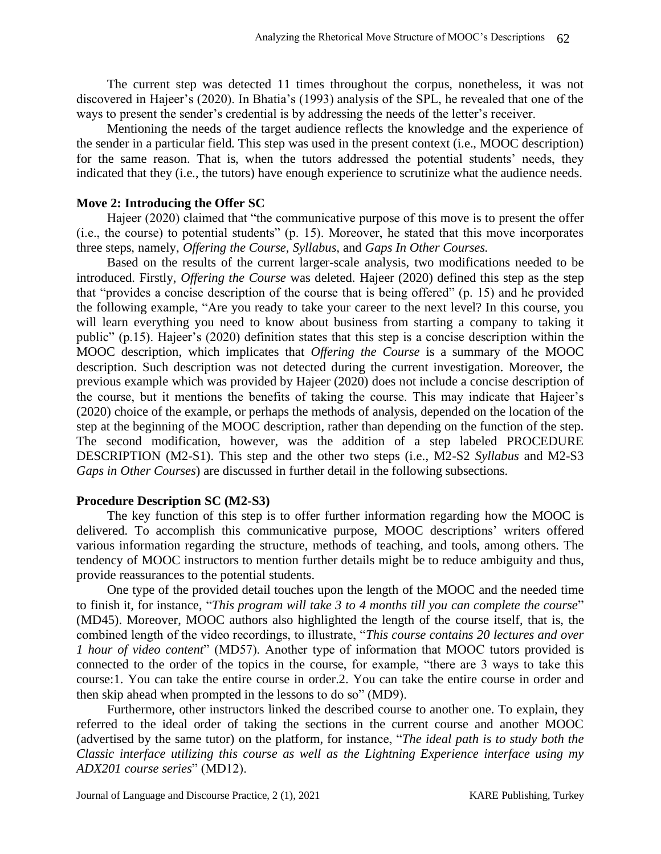The current step was detected 11 times throughout the corpus, nonetheless, it was not discovered in Hajeer's (2020). In Bhatia's (1993) analysis of the SPL, he revealed that one of the ways to present the sender's credential is by addressing the needs of the letter's receiver.

Mentioning the needs of the target audience reflects the knowledge and the experience of the sender in a particular field. This step was used in the present context (i.e., MOOC description) for the same reason. That is, when the tutors addressed the potential students' needs, they indicated that they (i.e., the tutors) have enough experience to scrutinize what the audience needs.

#### **Move 2: Introducing the Offer SC**

Hajeer (2020) claimed that "the communicative purpose of this move is to present the offer (i.e., the course) to potential students" (p. 15). Moreover, he stated that this move incorporates three steps, namely, *Offering the Course, Syllabus,* and *Gaps In Other Courses.*

Based on the results of the current larger-scale analysis, two modifications needed to be introduced. Firstly, *Offering the Course* was deleted. Hajeer (2020) defined this step as the step that "provides a concise description of the course that is being offered" (p. 15) and he provided the following example, "Are you ready to take your career to the next level? In this course, you will learn everything you need to know about business from starting a company to taking it public" (p.15). Hajeer's (2020) definition states that this step is a concise description within the MOOC description, which implicates that *Offering the Course* is a summary of the MOOC description. Such description was not detected during the current investigation. Moreover, the previous example which was provided by Hajeer (2020) does not include a concise description of the course, but it mentions the benefits of taking the course. This may indicate that Hajeer's (2020) choice of the example, or perhaps the methods of analysis, depended on the location of the step at the beginning of the MOOC description, rather than depending on the function of the step. The second modification, however, was the addition of a step labeled PROCEDURE DESCRIPTION (M2-S1). This step and the other two steps (i.e., M2-S2 *Syllabus* and M2-S3 *Gaps in Other Courses*) are discussed in further detail in the following subsections.

#### **Procedure Description SC (M2-S3)**

The key function of this step is to offer further information regarding how the MOOC is delivered. To accomplish this communicative purpose, MOOC descriptions' writers offered various information regarding the structure, methods of teaching, and tools, among others. The tendency of MOOC instructors to mention further details might be to reduce ambiguity and thus, provide reassurances to the potential students.

One type of the provided detail touches upon the length of the MOOC and the needed time to finish it, for instance, "*This program will take 3 to 4 months till you can complete the course*" (MD45). Moreover, MOOC authors also highlighted the length of the course itself, that is, the combined length of the video recordings, to illustrate, "*This course contains 20 lectures and over 1 hour of video content*" (MD57). Another type of information that MOOC tutors provided is connected to the order of the topics in the course, for example, "there are 3 ways to take this course:1. You can take the entire course in order.2. You can take the entire course in order and then skip ahead when prompted in the lessons to do so" (MD9).

Furthermore, other instructors linked the described course to another one. To explain, they referred to the ideal order of taking the sections in the current course and another MOOC (advertised by the same tutor) on the platform, for instance, "*The ideal path is to study both the Classic interface utilizing this course as well as the Lightning Experience interface using my ADX201 course series*" (MD12).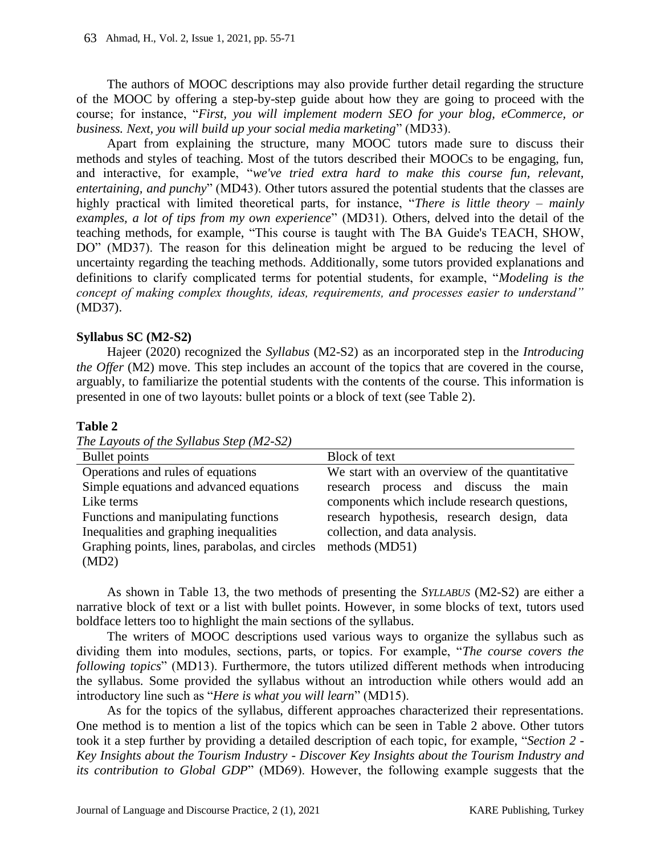The authors of MOOC descriptions may also provide further detail regarding the structure of the MOOC by offering a step-by-step guide about how they are going to proceed with the course; for instance, "*First, you will implement modern SEO for your blog, eCommerce, or business. Next, you will build up your social media marketing*" (MD33).

Apart from explaining the structure, many MOOC tutors made sure to discuss their methods and styles of teaching. Most of the tutors described their MOOCs to be engaging, fun, and interactive, for example, "*we've tried extra hard to make this course fun, relevant, entertaining, and punchy*" (MD43). Other tutors assured the potential students that the classes are highly practical with limited theoretical parts, for instance, "*There is little theory – mainly examples, a lot of tips from my own experience*" (MD31). Others, delved into the detail of the teaching methods, for example, "This course is taught with The BA Guide's TEACH, SHOW, DO" (MD37). The reason for this delineation might be argued to be reducing the level of uncertainty regarding the teaching methods. Additionally, some tutors provided explanations and definitions to clarify complicated terms for potential students, for example, "*Modeling is the concept of making complex thoughts, ideas, requirements, and processes easier to understand"* (MD37).

### **Syllabus SC (M2-S2)**

Hajeer (2020) recognized the *Syllabus* (M2-S2) as an incorporated step in the *Introducing the Offer* (M2) move. This step includes an account of the topics that are covered in the course, arguably, to familiarize the potential students with the contents of the course. This information is presented in one of two layouts: bullet points or a block of text (see Table 2).

### **Table 2**

| The Layouts of the Syllabus Step (M2-S2) |  |
|------------------------------------------|--|
|------------------------------------------|--|

| Bullet points                                  | Block of text                                 |
|------------------------------------------------|-----------------------------------------------|
| Operations and rules of equations              | We start with an overview of the quantitative |
| Simple equations and advanced equations        | research process and discuss the main         |
| Like terms                                     | components which include research questions,  |
| Functions and manipulating functions           | research hypothesis, research design, data    |
| Inequalities and graphing inequalities         | collection, and data analysis.                |
| Graphing points, lines, parabolas, and circles | methods (MD51)                                |
| (MD2)                                          |                                               |

As shown in Table 13, the two methods of presenting the *SYLLABUS* (M2-S2) are either a narrative block of text or a list with bullet points. However, in some blocks of text, tutors used boldface letters too to highlight the main sections of the syllabus.

The writers of MOOC descriptions used various ways to organize the syllabus such as dividing them into modules, sections, parts, or topics. For example, "*The course covers the following topics*" (MD13). Furthermore, the tutors utilized different methods when introducing the syllabus. Some provided the syllabus without an introduction while others would add an introductory line such as "*Here is what you will learn*" (MD15).

As for the topics of the syllabus, different approaches characterized their representations. One method is to mention a list of the topics which can be seen in Table 2 above. Other tutors took it a step further by providing a detailed description of each topic, for example, "*Section 2 - Key Insights about the Tourism Industry - Discover Key Insights about the Tourism Industry and its contribution to Global GDP*" (MD69). However, the following example suggests that the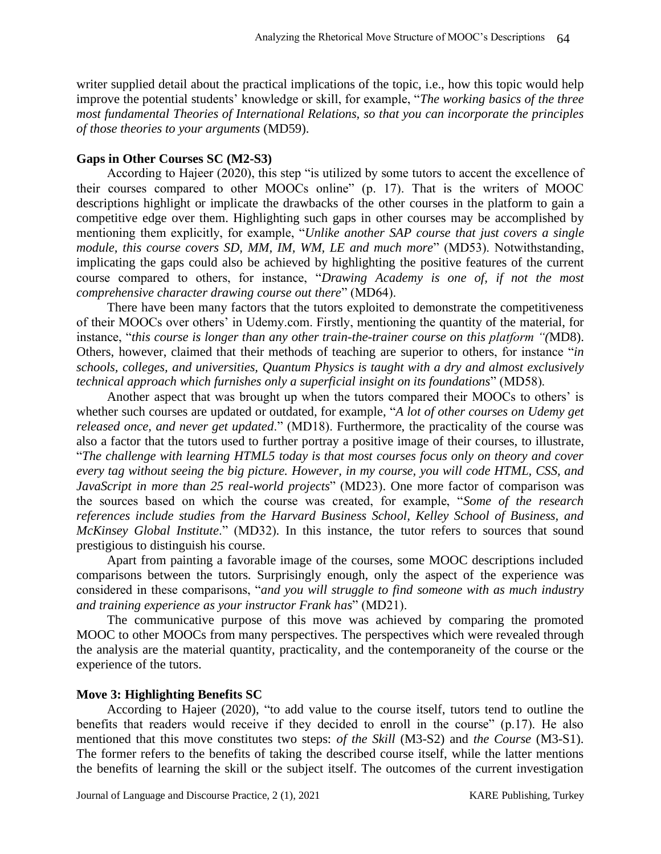writer supplied detail about the practical implications of the topic, i.e., how this topic would help improve the potential students' knowledge or skill, for example, "*The working basics of the three most fundamental Theories of International Relations, so that you can incorporate the principles of those theories to your arguments* (MD59).

### **Gaps in Other Courses SC (M2-S3)**

According to Hajeer (2020), this step "is utilized by some tutors to accent the excellence of their courses compared to other MOOCs online" (p. 17). That is the writers of MOOC descriptions highlight or implicate the drawbacks of the other courses in the platform to gain a competitive edge over them. Highlighting such gaps in other courses may be accomplished by mentioning them explicitly, for example, "*Unlike another SAP course that just covers a single module, this course covers SD, MM, IM, WM, LE and much more*" (MD53). Notwithstanding, implicating the gaps could also be achieved by highlighting the positive features of the current course compared to others, for instance, "*Drawing Academy is one of, if not the most comprehensive character drawing course out there*" (MD64).

There have been many factors that the tutors exploited to demonstrate the competitiveness of their MOOCs over others' in Udemy.com. Firstly, mentioning the quantity of the material, for instance, "*this course is longer than any other train-the-trainer course on this platform "(*MD8). Others, however, claimed that their methods of teaching are superior to others, for instance "*in schools, colleges, and universities, Quantum Physics is taught with a dry and almost exclusively technical approach which furnishes only a superficial insight on its foundations*" (MD58).

Another aspect that was brought up when the tutors compared their MOOCs to others' is whether such courses are updated or outdated, for example, "*A lot of other courses on Udemy get released once, and never get updated*." (MD18). Furthermore, the practicality of the course was also a factor that the tutors used to further portray a positive image of their courses, to illustrate, "*The challenge with learning HTML5 today is that most courses focus only on theory and cover every tag without seeing the big picture. However, in my course, you will code HTML, CSS, and JavaScript in more than 25 real-world projects*" (MD23). One more factor of comparison was the sources based on which the course was created, for example, "*Some of the research references include studies from the Harvard Business School, Kelley School of Business, and McKinsey Global Institute*." (MD32). In this instance, the tutor refers to sources that sound prestigious to distinguish his course.

Apart from painting a favorable image of the courses, some MOOC descriptions included comparisons between the tutors. Surprisingly enough, only the aspect of the experience was considered in these comparisons, "*and you will struggle to find someone with as much industry and training experience as your instructor Frank has*" (MD21).

The communicative purpose of this move was achieved by comparing the promoted MOOC to other MOOCs from many perspectives. The perspectives which were revealed through the analysis are the material quantity, practicality, and the contemporaneity of the course or the experience of the tutors.

#### **Move 3: Highlighting Benefits SC**

According to Hajeer (2020), "to add value to the course itself, tutors tend to outline the benefits that readers would receive if they decided to enroll in the course" (p.17). He also mentioned that this move constitutes two steps: *of the Skill* (M3-S2) and *the Course* (M3-S1). The former refers to the benefits of taking the described course itself, while the latter mentions the benefits of learning the skill or the subject itself. The outcomes of the current investigation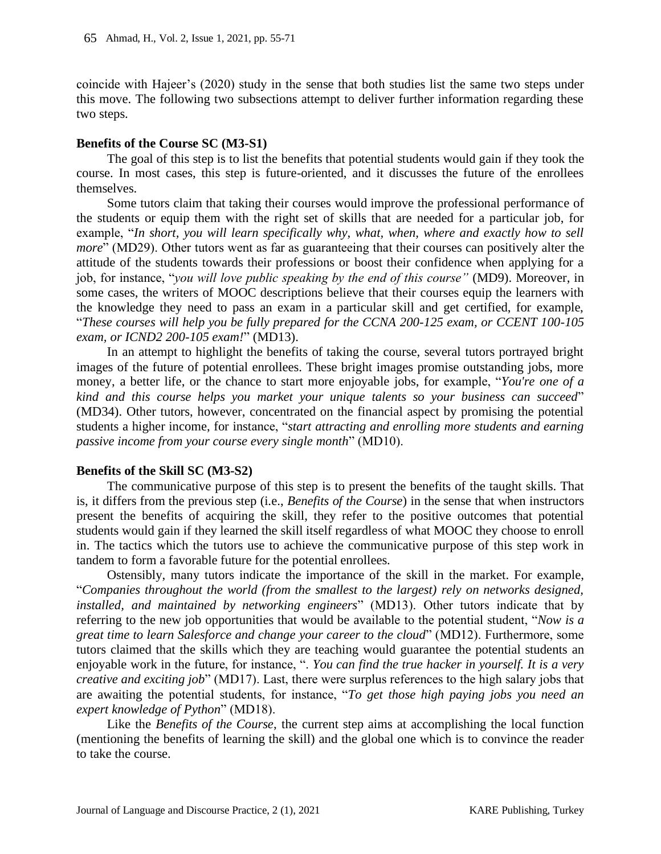coincide with Hajeer's (2020) study in the sense that both studies list the same two steps under this move. The following two subsections attempt to deliver further information regarding these two steps.

### **Benefits of the Course SC (M3-S1)**

The goal of this step is to list the benefits that potential students would gain if they took the course. In most cases, this step is future-oriented, and it discusses the future of the enrollees themselves.

Some tutors claim that taking their courses would improve the professional performance of the students or equip them with the right set of skills that are needed for a particular job, for example, "*In short, you will learn specifically why, what, when, where and exactly how to sell more*" (MD29). Other tutors went as far as guaranteeing that their courses can positively alter the attitude of the students towards their professions or boost their confidence when applying for a job, for instance, "*you will love public speaking by the end of this course"* (MD9). Moreover, in some cases, the writers of MOOC descriptions believe that their courses equip the learners with the knowledge they need to pass an exam in a particular skill and get certified, for example, "*These courses will help you be fully prepared for the CCNA 200-125 exam, or CCENT 100-105 exam, or ICND2 200-105 exam!*" (MD13).

In an attempt to highlight the benefits of taking the course, several tutors portrayed bright images of the future of potential enrollees. These bright images promise outstanding jobs, more money, a better life, or the chance to start more enjoyable jobs, for example, "*You're one of a kind and this course helps you market your unique talents so your business can succeed*" (MD34). Other tutors, however, concentrated on the financial aspect by promising the potential students a higher income, for instance, "*start attracting and enrolling more students and earning passive income from your course every single month*" (MD10).

### **Benefits of the Skill SC (M3-S2)**

The communicative purpose of this step is to present the benefits of the taught skills. That is, it differs from the previous step (i.e., *Benefits of the Course*) in the sense that when instructors present the benefits of acquiring the skill, they refer to the positive outcomes that potential students would gain if they learned the skill itself regardless of what MOOC they choose to enroll in. The tactics which the tutors use to achieve the communicative purpose of this step work in tandem to form a favorable future for the potential enrollees.

Ostensibly, many tutors indicate the importance of the skill in the market. For example, "*Companies throughout the world (from the smallest to the largest) rely on networks designed, installed, and maintained by networking engineers*" (MD13). Other tutors indicate that by referring to the new job opportunities that would be available to the potential student, "*Now is a great time to learn Salesforce and change your career to the cloud*" (MD12). Furthermore, some tutors claimed that the skills which they are teaching would guarantee the potential students an enjoyable work in the future, for instance, ". *You can find the true hacker in yourself. It is a very creative and exciting job*" (MD17). Last, there were surplus references to the high salary jobs that are awaiting the potential students, for instance, "*To get those high paying jobs you need an expert knowledge of Python*" (MD18).

Like the *Benefits of the Course*, the current step aims at accomplishing the local function (mentioning the benefits of learning the skill) and the global one which is to convince the reader to take the course.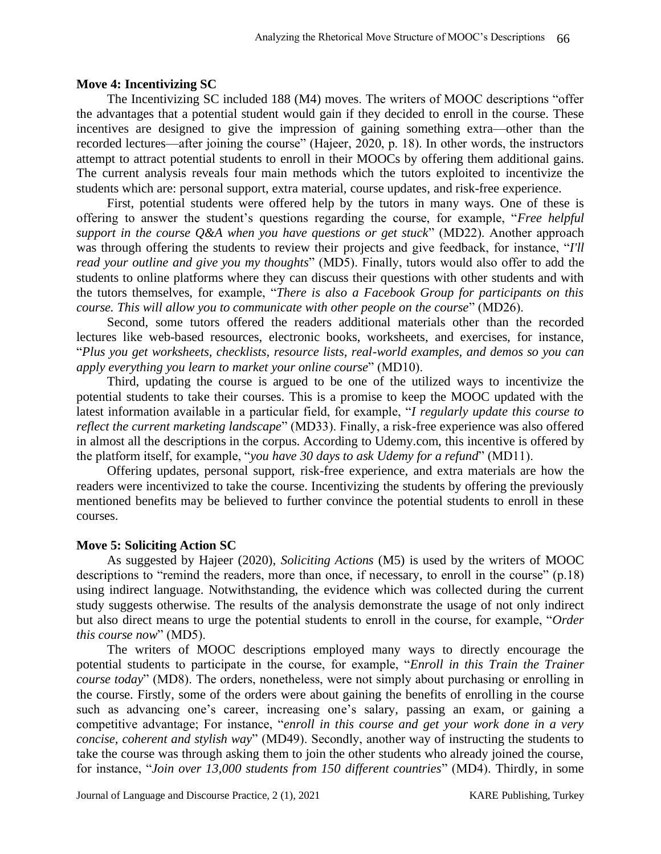#### **Move 4: Incentivizing SC**

The Incentivizing SC included 188 (M4) moves. The writers of MOOC descriptions "offer the advantages that a potential student would gain if they decided to enroll in the course. These incentives are designed to give the impression of gaining something extra—other than the recorded lectures—after joining the course" (Hajeer, 2020, p. 18). In other words, the instructors attempt to attract potential students to enroll in their MOOCs by offering them additional gains. The current analysis reveals four main methods which the tutors exploited to incentivize the students which are: personal support, extra material, course updates, and risk-free experience.

First, potential students were offered help by the tutors in many ways. One of these is offering to answer the student's questions regarding the course, for example, "*Free helpful support in the course Q&A when you have questions or get stuck*" (MD22). Another approach was through offering the students to review their projects and give feedback, for instance, "*I'll read your outline and give you my thoughts*" (MD5). Finally, tutors would also offer to add the students to online platforms where they can discuss their questions with other students and with the tutors themselves, for example, "*There is also a Facebook Group for participants on this course. This will allow you to communicate with other people on the course*" (MD26).

Second, some tutors offered the readers additional materials other than the recorded lectures like web-based resources, electronic books, worksheets, and exercises, for instance, "*Plus you get worksheets, checklists, resource lists, real-world examples, and demos so you can apply everything you learn to market your online course*" (MD10).

Third, updating the course is argued to be one of the utilized ways to incentivize the potential students to take their courses. This is a promise to keep the MOOC updated with the latest information available in a particular field, for example, "*I regularly update this course to reflect the current marketing landscape*" (MD33). Finally, a risk-free experience was also offered in almost all the descriptions in the corpus. According to Udemy.com, this incentive is offered by the platform itself, for example, "*you have 30 days to ask Udemy for a refund*" (MD11).

Offering updates, personal support, risk-free experience, and extra materials are how the readers were incentivized to take the course. Incentivizing the students by offering the previously mentioned benefits may be believed to further convince the potential students to enroll in these courses.

#### **Move 5: Soliciting Action SC**

As suggested by Hajeer (2020), *Soliciting Actions* (M5) is used by the writers of MOOC descriptions to "remind the readers, more than once, if necessary, to enroll in the course" (p.18) using indirect language. Notwithstanding, the evidence which was collected during the current study suggests otherwise. The results of the analysis demonstrate the usage of not only indirect but also direct means to urge the potential students to enroll in the course, for example, "*Order this course now*" (MD5).

The writers of MOOC descriptions employed many ways to directly encourage the potential students to participate in the course, for example, "*Enroll in this Train the Trainer course today*" (MD8). The orders, nonetheless, were not simply about purchasing or enrolling in the course. Firstly, some of the orders were about gaining the benefits of enrolling in the course such as advancing one's career, increasing one's salary, passing an exam, or gaining a competitive advantage; For instance, "*enroll in this course and get your work done in a very concise, coherent and stylish way*" (MD49). Secondly, another way of instructing the students to take the course was through asking them to join the other students who already joined the course, for instance, "*Join over 13,000 students from 150 different countries*" (MD4). Thirdly, in some

Journal of Language and Discourse Practice, 2 (1), 2021 KARE Publishing, Turkey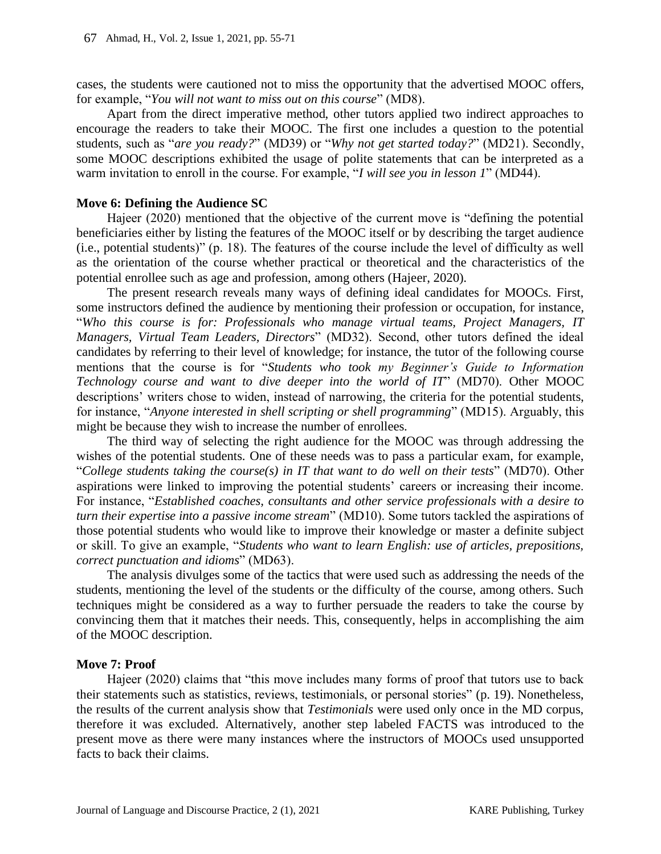cases, the students were cautioned not to miss the opportunity that the advertised MOOC offers, for example, "*You will not want to miss out on this course*" (MD8).

Apart from the direct imperative method, other tutors applied two indirect approaches to encourage the readers to take their MOOC. The first one includes a question to the potential students, such as "*are you ready?*" (MD39) or "*Why not get started today?*" (MD21). Secondly, some MOOC descriptions exhibited the usage of polite statements that can be interpreted as a warm invitation to enroll in the course. For example, "*I will see you in lesson 1*" (MD44).

#### **Move 6: Defining the Audience SC**

Hajeer (2020) mentioned that the objective of the current move is "defining the potential beneficiaries either by listing the features of the MOOC itself or by describing the target audience (i.e., potential students)" (p. 18). The features of the course include the level of difficulty as well as the orientation of the course whether practical or theoretical and the characteristics of the potential enrollee such as age and profession, among others (Hajeer, 2020).

The present research reveals many ways of defining ideal candidates for MOOCs. First, some instructors defined the audience by mentioning their profession or occupation, for instance, "*Who this course is for: Professionals who manage virtual teams, Project Managers, IT Managers, Virtual Team Leaders, Directors*" (MD32). Second, other tutors defined the ideal candidates by referring to their level of knowledge; for instance, the tutor of the following course mentions that the course is for "*Students who took my Beginner's Guide to Information Technology course and want to dive deeper into the world of IT*" (MD70). Other MOOC descriptions' writers chose to widen, instead of narrowing, the criteria for the potential students, for instance, "*Anyone interested in shell scripting or shell programming*" (MD15). Arguably, this might be because they wish to increase the number of enrollees.

The third way of selecting the right audience for the MOOC was through addressing the wishes of the potential students. One of these needs was to pass a particular exam, for example, "*College students taking the course(s) in IT that want to do well on their tests*" (MD70). Other aspirations were linked to improving the potential students' careers or increasing their income. For instance, "*Established coaches, consultants and other service professionals with a desire to turn their expertise into a passive income stream*" (MD10). Some tutors tackled the aspirations of those potential students who would like to improve their knowledge or master a definite subject or skill. To give an example, "*Students who want to learn English: use of articles, prepositions, correct punctuation and idioms*" (MD63).

The analysis divulges some of the tactics that were used such as addressing the needs of the students, mentioning the level of the students or the difficulty of the course, among others. Such techniques might be considered as a way to further persuade the readers to take the course by convincing them that it matches their needs. This, consequently, helps in accomplishing the aim of the MOOC description.

#### **Move 7: Proof**

Hajeer (2020) claims that "this move includes many forms of proof that tutors use to back their statements such as statistics, reviews, testimonials, or personal stories" (p. 19). Nonetheless, the results of the current analysis show that *Testimonials* were used only once in the MD corpus, therefore it was excluded. Alternatively, another step labeled FACTS was introduced to the present move as there were many instances where the instructors of MOOCs used unsupported facts to back their claims.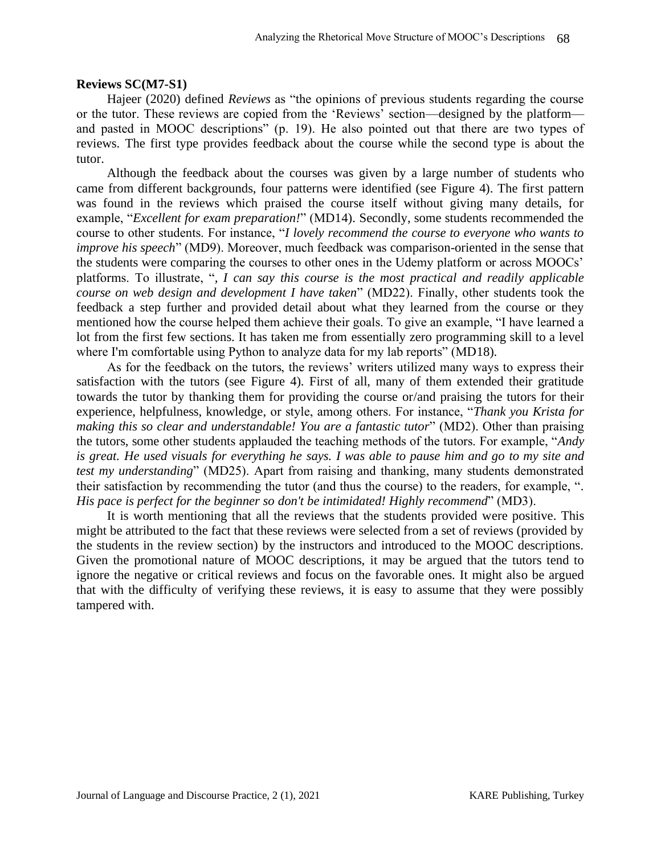### **Reviews SC(M7-S1)**

Hajeer (2020) defined *Reviews* as "the opinions of previous students regarding the course or the tutor. These reviews are copied from the 'Reviews' section—designed by the platform and pasted in MOOC descriptions" (p. 19). He also pointed out that there are two types of reviews. The first type provides feedback about the course while the second type is about the tutor.

Although the feedback about the courses was given by a large number of students who came from different backgrounds, four patterns were identified (see Figure 4). The first pattern was found in the reviews which praised the course itself without giving many details, for example, "*Excellent for exam preparation!*" (MD14). Secondly, some students recommended the course to other students. For instance, "*I lovely recommend the course to everyone who wants to improve his speech*" (MD9). Moreover, much feedback was comparison-oriented in the sense that the students were comparing the courses to other ones in the Udemy platform or across MOOCs' platforms. To illustrate, "*, I can say this course is the most practical and readily applicable course on web design and development I have taken*" (MD22). Finally, other students took the feedback a step further and provided detail about what they learned from the course or they mentioned how the course helped them achieve their goals. To give an example, "I have learned a lot from the first few sections. It has taken me from essentially zero programming skill to a level where I'm comfortable using Python to analyze data for my lab reports" (MD18).

As for the feedback on the tutors, the reviews' writers utilized many ways to express their satisfaction with the tutors (see Figure 4). First of all, many of them extended their gratitude towards the tutor by thanking them for providing the course or/and praising the tutors for their experience, helpfulness, knowledge, or style, among others. For instance, "*Thank you Krista for making this so clear and understandable! You are a fantastic tutor*" (MD2). Other than praising the tutors, some other students applauded the teaching methods of the tutors. For example, "*Andy is great. He used visuals for everything he says. I was able to pause him and go to my site and test my understanding*" (MD25). Apart from raising and thanking, many students demonstrated their satisfaction by recommending the tutor (and thus the course) to the readers, for example, "*. His pace is perfect for the beginner so don't be intimidated! Highly recommend*" (MD3).

It is worth mentioning that all the reviews that the students provided were positive. This might be attributed to the fact that these reviews were selected from a set of reviews (provided by the students in the review section) by the instructors and introduced to the MOOC descriptions. Given the promotional nature of MOOC descriptions, it may be argued that the tutors tend to ignore the negative or critical reviews and focus on the favorable ones. It might also be argued that with the difficulty of verifying these reviews, it is easy to assume that they were possibly tampered with.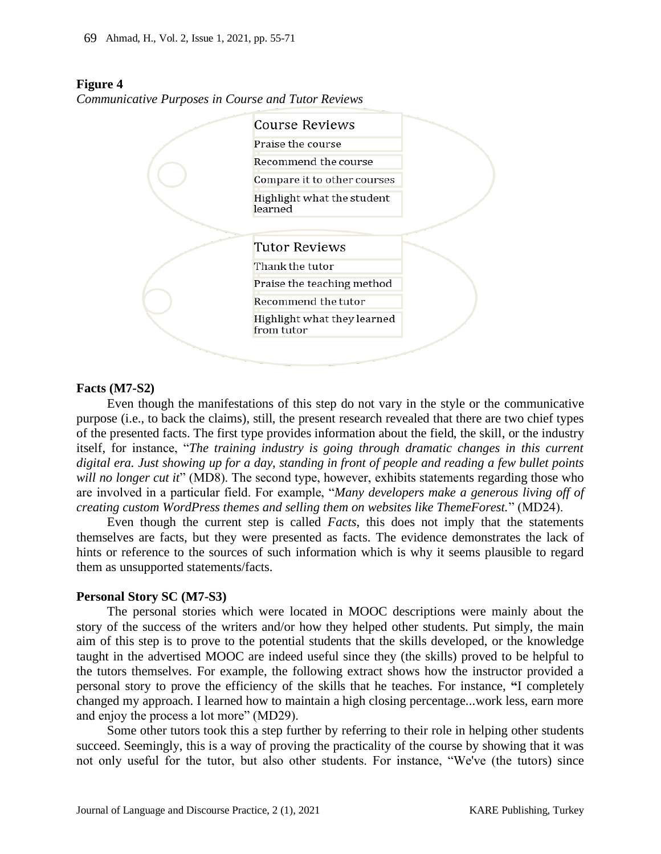### **Figure 4**

*Communicative Purposes in Course and Tutor Reviews*



### **Facts (M7-S2)**

Even though the manifestations of this step do not vary in the style or the communicative purpose (i.e., to back the claims), still, the present research revealed that there are two chief types of the presented facts. The first type provides information about the field, the skill, or the industry itself, for instance, "*The training industry is going through dramatic changes in this current digital era. Just showing up for a day, standing in front of people and reading a few bullet points will no longer cut it*" (MD8). The second type, however, exhibits statements regarding those who are involved in a particular field. For example, "*Many developers make a generous living off of creating custom WordPress themes and selling them on websites like ThemeForest.*" (MD24).

Even though the current step is called *Facts*, this does not imply that the statements themselves are facts, but they were presented as facts. The evidence demonstrates the lack of hints or reference to the sources of such information which is why it seems plausible to regard them as unsupported statements/facts.

#### **Personal Story SC (M7-S3)**

The personal stories which were located in MOOC descriptions were mainly about the story of the success of the writers and/or how they helped other students. Put simply, the main aim of this step is to prove to the potential students that the skills developed, or the knowledge taught in the advertised MOOC are indeed useful since they (the skills) proved to be helpful to the tutors themselves. For example, the following extract shows how the instructor provided a personal story to prove the efficiency of the skills that he teaches. For instance, **"**I completely changed my approach. I learned how to maintain a high closing percentage...work less, earn more and enjoy the process a lot more" (MD29).

Some other tutors took this a step further by referring to their role in helping other students succeed. Seemingly, this is a way of proving the practicality of the course by showing that it was not only useful for the tutor, but also other students. For instance, "We've (the tutors) since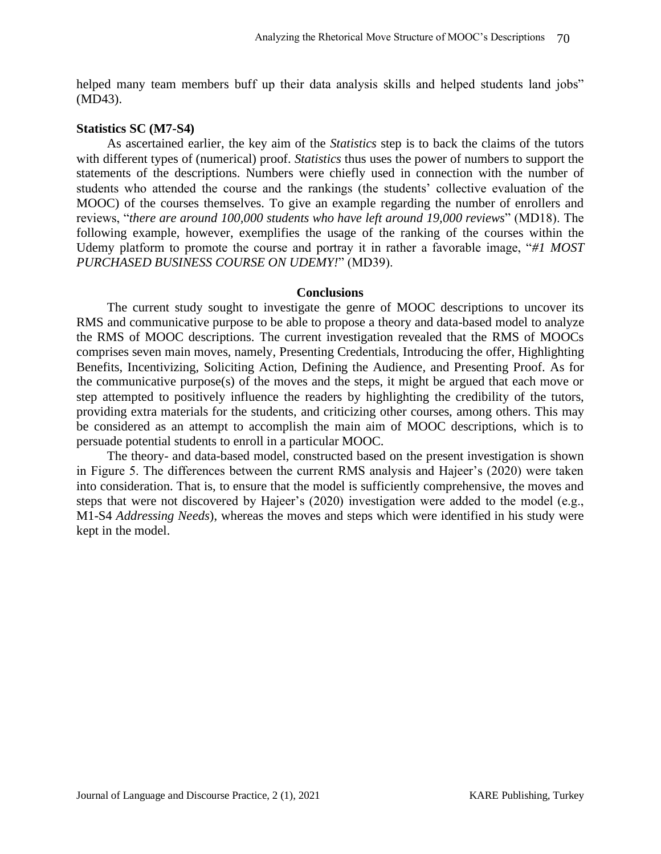helped many team members buff up their data analysis skills and helped students land jobs" (MD43).

#### **Statistics SC (M7-S4)**

As ascertained earlier, the key aim of the *Statistics* step is to back the claims of the tutors with different types of (numerical) proof. *Statistics* thus uses the power of numbers to support the statements of the descriptions. Numbers were chiefly used in connection with the number of students who attended the course and the rankings (the students' collective evaluation of the MOOC) of the courses themselves. To give an example regarding the number of enrollers and reviews, "*there are around 100,000 students who have left around 19,000 reviews*" (MD18). The following example, however, exemplifies the usage of the ranking of the courses within the Udemy platform to promote the course and portray it in rather a favorable image, "*#1 MOST PURCHASED BUSINESS COURSE ON UDEMY!*" (MD39).

#### **Conclusions**

The current study sought to investigate the genre of MOOC descriptions to uncover its RMS and communicative purpose to be able to propose a theory and data-based model to analyze the RMS of MOOC descriptions. The current investigation revealed that the RMS of MOOCs comprises seven main moves, namely, Presenting Credentials, Introducing the offer, Highlighting Benefits, Incentivizing, Soliciting Action, Defining the Audience, and Presenting Proof. As for the communicative purpose(s) of the moves and the steps, it might be argued that each move or step attempted to positively influence the readers by highlighting the credibility of the tutors, providing extra materials for the students, and criticizing other courses, among others. This may be considered as an attempt to accomplish the main aim of MOOC descriptions, which is to persuade potential students to enroll in a particular MOOC.

The theory- and data-based model, constructed based on the present investigation is shown in Figure 5. The differences between the current RMS analysis and Hajeer's (2020) were taken into consideration. That is, to ensure that the model is sufficiently comprehensive, the moves and steps that were not discovered by Hajeer's (2020) investigation were added to the model (e.g., M1-S4 *Addressing Needs*), whereas the moves and steps which were identified in his study were kept in the model.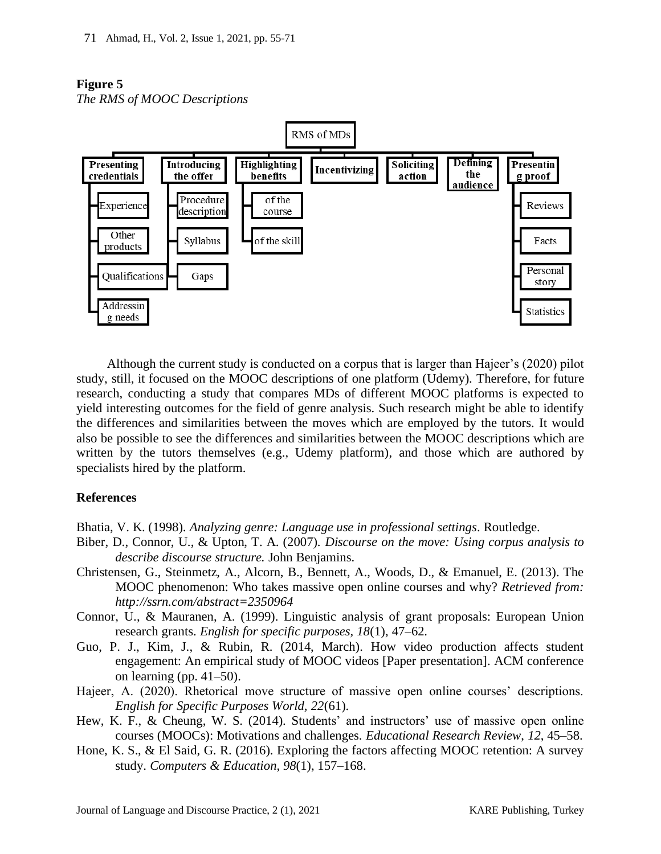# **Figure 5**

*The RMS of MOOC Descriptions*



Although the current study is conducted on a corpus that is larger than Hajeer's (2020) pilot study, still, it focused on the MOOC descriptions of one platform (Udemy). Therefore, for future research, conducting a study that compares MDs of different MOOC platforms is expected to yield interesting outcomes for the field of genre analysis. Such research might be able to identify the differences and similarities between the moves which are employed by the tutors. It would also be possible to see the differences and similarities between the MOOC descriptions which are written by the tutors themselves (e.g., Udemy platform), and those which are authored by specialists hired by the platform.

# **References**

Bhatia, V. K. (1998). *Analyzing genre: Language use in professional settings*. Routledge.

- Biber, D., Connor, U., & Upton, T. A. (2007). *Discourse on the move: Using corpus analysis to describe discourse structure.* John Benjamins.
- Christensen, G., Steinmetz, A., Alcorn, B., Bennett, A., Woods, D., & Emanuel, E. (2013). The MOOC phenomenon: Who takes massive open online courses and why? *Retrieved from: <http://ssrn.com/abstract=2350964>*
- Connor, U., & Mauranen, A. (1999). Linguistic analysis of grant proposals: European Union research grants. *English for specific purposes, 18*(1), 47–62.
- Guo, P. J., Kim, J., & Rubin, R. (2014, March). How video production affects student engagement: An empirical study of MOOC videos [Paper presentation]. ACM conference on learning (pp. 41–50).
- Hajeer, A. (2020). Rhetorical move structure of massive open online courses' descriptions. *English for Specific Purposes World, 22*(61).
- Hew, K. F., & Cheung, W. S. (2014). Students' and instructors' use of massive open online courses (MOOCs): Motivations and challenges. *Educational Research Review*, *12*, 45–58.
- Hone, K. S., & El Said, G. R. (2016). Exploring the factors affecting MOOC retention: A survey study. *Computers & Education*, *98*(1), 157–168.